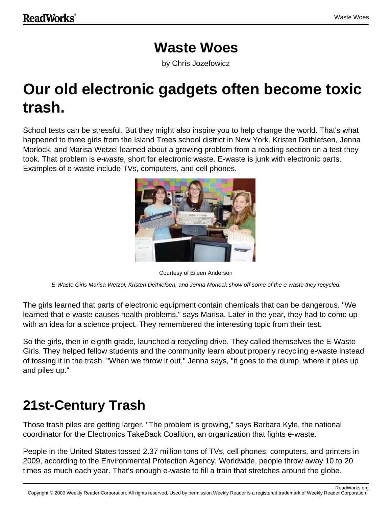#### **Waste Woes**

by Chris Jozefowicz

# **Our old electronic gadgets often become toxic trash.**

School tests can be stressful. But they might also inspire you to help change the world. That's what happened to three girls from the Island Trees school district in New York. Kristen Dethlefsen, Jenna Morlock, and Marisa Wetzel learned about a growing problem from a reading section on a test they took. That problem is e-waste, short for electronic waste. E-waste is junk with electronic parts. Examples of e-waste include TVs, computers, and cell phones.



Courtesy of Eileen Anderson

E-Waste Girls Marisa Wetzel, Kristen Dethlefsen, and Jenna Morlock show off some of the e-waste they recycled.

The girls learned that parts of electronic equipment contain chemicals that can be dangerous. "We learned that e-waste causes health problems," says Marisa. Later in the year, they had to come up with an idea for a science project. They remembered the interesting topic from their test.

So the girls, then in eighth grade, launched a recycling drive. They called themselves the E-Waste Girls. They helped fellow students and the community learn about properly recycling e-waste instead of tossing it in the trash. "When we throw it out," Jenna says, "it goes to the dump, where it piles up and piles up."

### **21st-Century Trash**

Those trash piles are getting larger. "The problem is growing," says Barbara Kyle, the national coordinator for the Electronics TakeBack Coalition, an organization that fights e-waste.

People in the United States tossed 2.37 million tons of TVs, cell phones, computers, and printers in 2009, according to the Environmental Protection Agency. Worldwide, people throw away 10 to 20 times as much each year. That's enough e-waste to fill a train that stretches around the globe.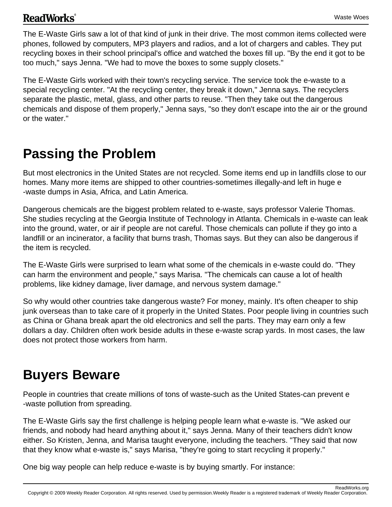#### **ReadWorks**<sup>®</sup>

The E-Waste Girls saw a lot of that kind of junk in their drive. The most common items collected were phones, followed by computers, MP3 players and radios, and a lot of chargers and cables. They put recycling boxes in their school principal's office and watched the boxes fill up. "By the end it got to be too much," says Jenna. "We had to move the boxes to some supply closets."

The E-Waste Girls worked with their town's recycling service. The service took the e-waste to a special recycling center. "At the recycling center, they break it down," Jenna says. The recyclers separate the plastic, metal, glass, and other parts to reuse. "Then they take out the dangerous chemicals and dispose of them properly," Jenna says, "so they don't escape into the air or the ground or the water."

#### **Passing the Problem**

But most electronics in the United States are not recycled. Some items end up in landfills close to our homes. Many more items are shipped to other countries-sometimes illegally-and left in huge e -waste dumps in Asia, Africa, and Latin America.

Dangerous chemicals are the biggest problem related to e-waste, says professor Valerie Thomas. She studies recycling at the Georgia Institute of Technology in Atlanta. Chemicals in e-waste can leak into the ground, water, or air if people are not careful. Those chemicals can pollute if they go into a landfill or an incinerator, a facility that burns trash, Thomas says. But they can also be dangerous if the item is recycled.

The E-Waste Girls were surprised to learn what some of the chemicals in e-waste could do. "They can harm the environment and people," says Marisa. "The chemicals can cause a lot of health problems, like kidney damage, liver damage, and nervous system damage."

So why would other countries take dangerous waste? For money, mainly. It's often cheaper to ship junk overseas than to take care of it properly in the United States. Poor people living in countries such as China or Ghana break apart the old electronics and sell the parts. They may earn only a few dollars a day. Children often work beside adults in these e-waste scrap yards. In most cases, the law does not protect those workers from harm.

#### **Buyers Beware**

People in countries that create millions of tons of waste-such as the United States-can prevent e -waste pollution from spreading.

The E-Waste Girls say the first challenge is helping people learn what e-waste is. "We asked our friends, and nobody had heard anything about it," says Jenna. Many of their teachers didn't know either. So Kristen, Jenna, and Marisa taught everyone, including the teachers. "They said that now that they know what e-waste is," says Marisa, "they're going to start recycling it properly."

One big way people can help reduce e-waste is by buying smartly. For instance: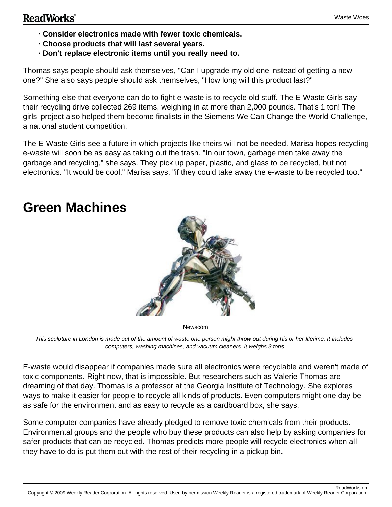- **· Consider electronics made with fewer toxic chemicals.**
- **· Choose products that will last several years.**
- **· Don't replace electronic items until you really need to.**

Thomas says people should ask themselves, "Can I upgrade my old one instead of getting a new one?" She also says people should ask themselves, "How long will this product last?"

Something else that everyone can do to fight e-waste is to recycle old stuff. The E-Waste Girls say their recycling drive collected 269 items, weighing in at more than 2,000 pounds. That's 1 ton! The girls' project also helped them become finalists in the Siemens We Can Change the World Challenge, a national student competition.

The E-Waste Girls see a future in which projects like theirs will not be needed. Marisa hopes recycling e-waste will soon be as easy as taking out the trash. "In our town, garbage men take away the garbage and recycling," she says. They pick up paper, plastic, and glass to be recycled, but not electronics. "It would be cool," Marisa says, "if they could take away the e-waste to be recycled too."

## **Green Machines**



Newscom

This sculpture in London is made out of the amount of waste one person might throw out during his or her lifetime. It includes computers, washing machines, and vacuum cleaners. It weighs 3 tons.

E-waste would disappear if companies made sure all electronics were recyclable and weren't made of toxic components. Right now, that is impossible. But researchers such as Valerie Thomas are dreaming of that day. Thomas is a professor at the Georgia Institute of Technology. She explores ways to make it easier for people to recycle all kinds of products. Even computers might one day be as safe for the environment and as easy to recycle as a cardboard box, she says.

Some computer companies have already pledged to remove toxic chemicals from their products. Environmental groups and the people who buy these products can also help by asking companies for safer products that can be recycled. Thomas predicts more people will recycle electronics when all they have to do is put them out with the rest of their recycling in a pickup bin.